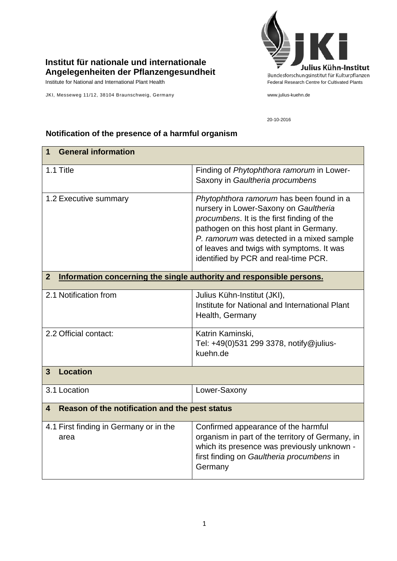## **Institut für nationale und internationale Angelegenheiten der Pflanzengesundheit**

Institute for National and International Plant Health Federal Research Centre for Cultivated Plants

JKI, Messeweg 11/12, 38104 Braunschweig, Germany www.julius-kuehn.de



20-10-2016

## **1 General information** 1.1 Title Finding of *Phytophthora ramorum* in Lower-Saxony in *Gaultheria procumbens* 1.2 Executive summary *Phytophthora ramorum* has been found in a nursery in Lower-Saxony on *Gaultheria procumbens*. It is the first finding of the pathogen on this host plant in Germany. *P. ramorum* was detected in a mixed sample of leaves and twigs with symptoms. It was identified by PCR and real-time PCR. **2 Information concerning the single authority and responsible persons.** 2.1 Notification from Julius Kühn-Institut (JKI), Institute for National and International Plant Health, Germany 2.2 Official contact: **Katrin Kaminski**, Tel: +49(0)531 299 3378, [notify@julius](mailto:notify@jki.bund.de)[kuehn.de](mailto:notify@jki.bund.de) **3 Location**  3.1 Location Lower-Saxony **4 Reason of the notification and the pest status** 4.1 First finding in Germany or in the area Confirmed appearance of the harmful organism in part of the territory of Germany, in which its presence was previously unknown first finding on *Gaultheria procumbens* in **Germany**

## **Notification of the presence of a harmful organism**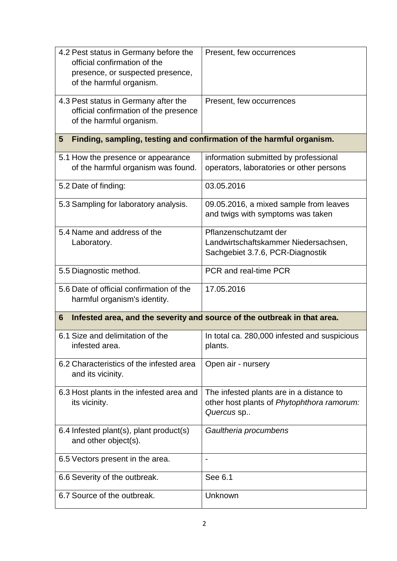| 4.2 Pest status in Germany before the<br>official confirmation of the<br>presence, or suspected presence,<br>of the harmful organism. | Present, few occurrences                                                                             |
|---------------------------------------------------------------------------------------------------------------------------------------|------------------------------------------------------------------------------------------------------|
| 4.3 Pest status in Germany after the<br>official confirmation of the presence<br>of the harmful organism.                             | Present, few occurrences                                                                             |
| Finding, sampling, testing and confirmation of the harmful organism.<br>5                                                             |                                                                                                      |
| 5.1 How the presence or appearance<br>of the harmful organism was found.                                                              | information submitted by professional<br>operators, laboratories or other persons                    |
| 5.2 Date of finding:                                                                                                                  | 03.05.2016                                                                                           |
| 5.3 Sampling for laboratory analysis.                                                                                                 | 09.05.2016, a mixed sample from leaves<br>and twigs with symptoms was taken                          |
| 5.4 Name and address of the<br>Laboratory.                                                                                            | Pflanzenschutzamt der<br>Landwirtschaftskammer Niedersachsen,<br>Sachgebiet 3.7.6, PCR-Diagnostik    |
| 5.5 Diagnostic method.                                                                                                                | PCR and real-time PCR                                                                                |
| 5.6 Date of official confirmation of the<br>harmful organism's identity.                                                              | 17.05.2016                                                                                           |
| Infested area, and the severity and source of the outbreak in that area.<br>6                                                         |                                                                                                      |
| 6.1 Size and delimitation of the<br>infested area.                                                                                    | In total ca. 280,000 infested and suspicious<br>plants.                                              |
| 6.2 Characteristics of the infested area<br>and its vicinity.                                                                         | Open air - nursery                                                                                   |
| 6.3 Host plants in the infested area and<br>its vicinity.                                                                             | The infested plants are in a distance to<br>other host plants of Phytophthora ramorum:<br>Quercus sp |
| 6.4 Infested plant(s), plant product(s)<br>and other object(s).                                                                       | Gaultheria procumbens                                                                                |
| 6.5 Vectors present in the area.                                                                                                      | $\overline{a}$                                                                                       |
| 6.6 Severity of the outbreak.                                                                                                         | See 6.1                                                                                              |
| 6.7 Source of the outbreak.                                                                                                           | Unknown                                                                                              |